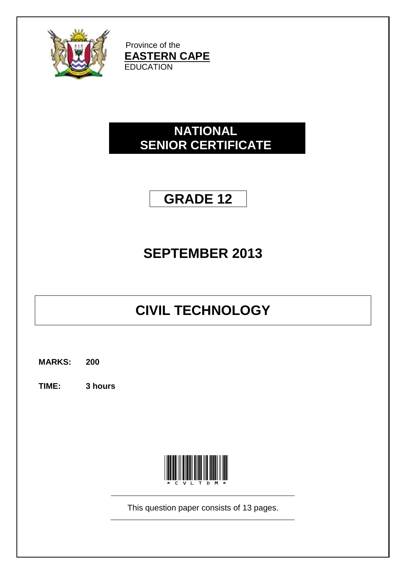

Province of the **EASTERN CAPE EDUCATION** 

### **NATIONAL SENIOR CERTIFICATE**

# **GRADE 12**

# **SEPTEMBER 2013**

# **CIVIL TECHNOLOGY**

**MARKS: 200**

**TIME: 3 hours**



This question paper consists of 13 pages.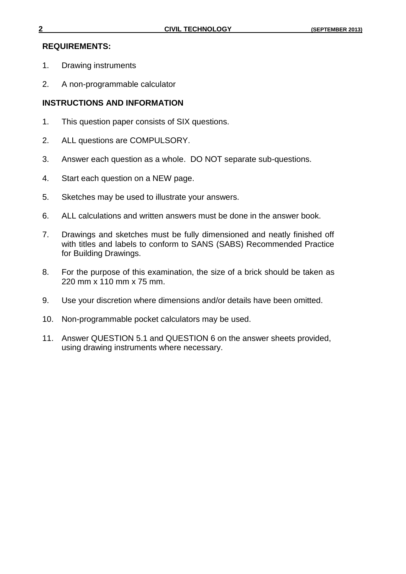#### **REQUIREMENTS:**

- 1. Drawing instruments
- 2. A non-programmable calculator

#### **INSTRUCTIONS AND INFORMATION**

- 1. This question paper consists of SIX questions.
- 2. ALL questions are COMPULSORY.
- 3. Answer each question as a whole. DO NOT separate sub-questions.
- 4. Start each question on a NEW page.
- 5. Sketches may be used to illustrate your answers.
- 6. ALL calculations and written answers must be done in the answer book.
- 7. Drawings and sketches must be fully dimensioned and neatly finished off with titles and labels to conform to SANS (SABS) Recommended Practice for Building Drawings.
- 8. For the purpose of this examination, the size of a brick should be taken as 220 mm x 110 mm x 75 mm.
- 9. Use your discretion where dimensions and/or details have been omitted.
- 10. Non-programmable pocket calculators may be used.
- 11. Answer QUESTION 5.1 and QUESTION 6 on the answer sheets provided, using drawing instruments where necessary.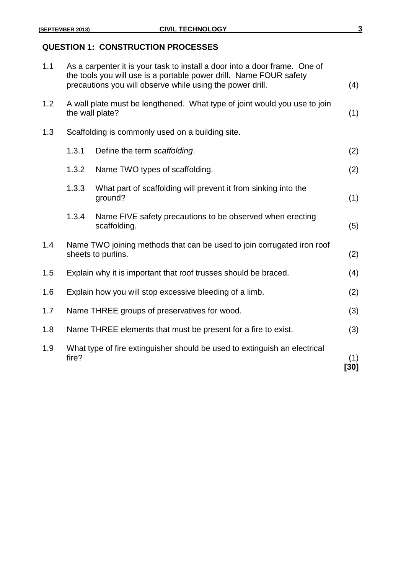### **QUESTION 1: CONSTRUCTION PROCESSES**

| 1.1 |                                                                                            | As a carpenter it is your task to install a door into a door frame. One of<br>the tools you will use is a portable power drill. Name FOUR safety<br>precautions you will observe while using the power drill. | (4) |
|-----|--------------------------------------------------------------------------------------------|---------------------------------------------------------------------------------------------------------------------------------------------------------------------------------------------------------------|-----|
| 1.2 |                                                                                            | A wall plate must be lengthened. What type of joint would you use to join<br>the wall plate?                                                                                                                  | (1) |
| 1.3 | Scaffolding is commonly used on a building site.                                           |                                                                                                                                                                                                               |     |
|     | 1.3.1                                                                                      | Define the term scaffolding.                                                                                                                                                                                  | (2) |
|     | 1.3.2                                                                                      | Name TWO types of scaffolding.                                                                                                                                                                                | (2) |
|     | 1.3.3                                                                                      | What part of scaffolding will prevent it from sinking into the<br>ground?                                                                                                                                     | (1) |
|     | 1.3.4                                                                                      | Name FIVE safety precautions to be observed when erecting<br>scaffolding.                                                                                                                                     | (5) |
| 1.4 |                                                                                            | Name TWO joining methods that can be used to join corrugated iron roof<br>sheets to purlins.                                                                                                                  | (2) |
| 1.5 |                                                                                            | Explain why it is important that roof trusses should be braced.                                                                                                                                               | (4) |
| 1.6 |                                                                                            | Explain how you will stop excessive bleeding of a limb.                                                                                                                                                       | (2) |
| 1.7 | Name THREE groups of preservatives for wood.<br>(3)                                        |                                                                                                                                                                                                               |     |
| 1.8 | Name THREE elements that must be present for a fire to exist.<br>(3)                       |                                                                                                                                                                                                               |     |
| 1.9 | What type of fire extinguisher should be used to extinguish an electrical<br>fire?<br>[30] |                                                                                                                                                                                                               |     |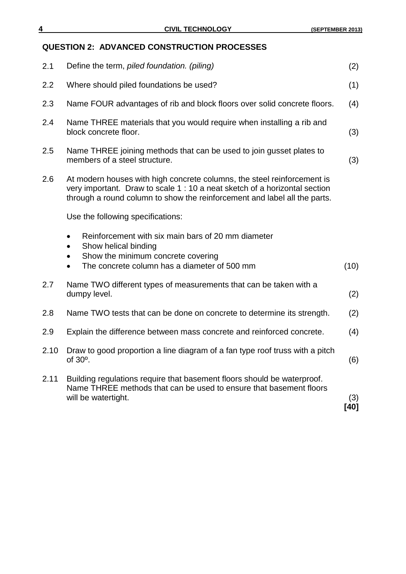### **QUESTION 2: ADVANCED CONSTRUCTION PROCESSES**

| 2.1  | Define the term, piled foundation. (piling)                                                                                                                                                                                        | (2)  |  |
|------|------------------------------------------------------------------------------------------------------------------------------------------------------------------------------------------------------------------------------------|------|--|
| 2.2  | Where should piled foundations be used?                                                                                                                                                                                            |      |  |
| 2.3  | Name FOUR advantages of rib and block floors over solid concrete floors.                                                                                                                                                           | (4)  |  |
| 2.4  | Name THREE materials that you would require when installing a rib and<br>block concrete floor.                                                                                                                                     |      |  |
| 2.5  | Name THREE joining methods that can be used to join gusset plates to<br>members of a steel structure.                                                                                                                              | (3)  |  |
| 2.6  | At modern houses with high concrete columns, the steel reinforcement is<br>very important. Draw to scale 1 : 10 a neat sketch of a horizontal section<br>through a round column to show the reinforcement and label all the parts. |      |  |
|      | Use the following specifications:                                                                                                                                                                                                  |      |  |
|      | Reinforcement with six main bars of 20 mm diameter<br>$\bullet$<br>Show helical binding<br>$\bullet$                                                                                                                               |      |  |
|      | Show the minimum concrete covering<br>$\bullet$<br>The concrete column has a diameter of 500 mm<br>$\bullet$                                                                                                                       | (10) |  |
| 2.7  | Name TWO different types of measurements that can be taken with a<br>dumpy level.                                                                                                                                                  | (2)  |  |
| 2.8  | Name TWO tests that can be done on concrete to determine its strength.                                                                                                                                                             |      |  |
| 2.9  | (4)<br>Explain the difference between mass concrete and reinforced concrete.                                                                                                                                                       |      |  |
| 2.10 | Draw to good proportion a line diagram of a fan type roof truss with a pitch<br>of 30°.                                                                                                                                            |      |  |
| 2.11 | Building regulations require that basement floors should be waterproof.<br>Name THREE methods that can be used to ensure that basement floors<br>will be watertight.                                                               |      |  |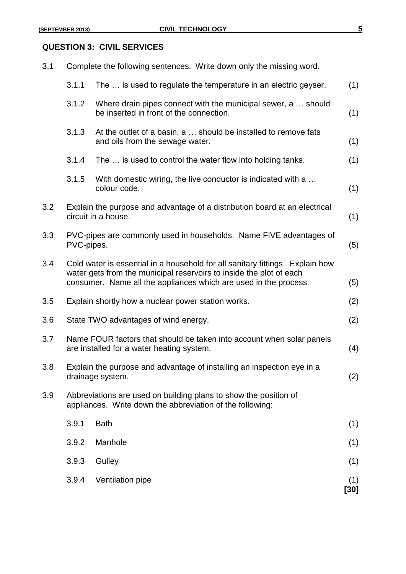#### **QUESTION 3: CIVIL SERVICES**

| 3.1 |            | Complete the following sentences. Write down only the missing word.                                                                                                                                                      |             |
|-----|------------|--------------------------------------------------------------------------------------------------------------------------------------------------------------------------------------------------------------------------|-------------|
|     | 3.1.1      | The  is used to regulate the temperature in an electric geyser.                                                                                                                                                          | (1)         |
|     | 3.1.2      | Where drain pipes connect with the municipal sewer, a  should<br>be inserted in front of the connection.                                                                                                                 | (1)         |
|     | 3.1.3      | At the outlet of a basin, a  should be installed to remove fats<br>and oils from the sewage water.                                                                                                                       | (1)         |
|     | 3.1.4      | The  is used to control the water flow into holding tanks.                                                                                                                                                               | (1)         |
|     | 3.1.5      | With domestic wiring, the live conductor is indicated with a<br>colour code.                                                                                                                                             | (1)         |
| 3.2 |            | Explain the purpose and advantage of a distribution board at an electrical<br>circuit in a house.                                                                                                                        | (1)         |
| 3.3 | PVC-pipes. | PVC-pipes are commonly used in households. Name FIVE advantages of                                                                                                                                                       | (5)         |
| 3.4 |            | Cold water is essential in a household for all sanitary fittings. Explain how<br>water gets from the municipal reservoirs to inside the plot of each<br>consumer. Name all the appliances which are used in the process. | (5)         |
| 3.5 |            | Explain shortly how a nuclear power station works.                                                                                                                                                                       | (2)         |
| 3.6 |            | State TWO advantages of wind energy.                                                                                                                                                                                     | (2)         |
| 3.7 |            | Name FOUR factors that should be taken into account when solar panels<br>are installed for a water heating system.                                                                                                       | (4)         |
| 3.8 |            | Explain the purpose and advantage of installing an inspection eye in a<br>drainage system.                                                                                                                               | (2)         |
| 3.9 |            | Abbreviations are used on building plans to show the position of<br>appliances. Write down the abbreviation of the following:                                                                                            |             |
|     | 3.9.1      | <b>Bath</b>                                                                                                                                                                                                              | (1)         |
|     | 3.9.2      | Manhole                                                                                                                                                                                                                  | (1)         |
|     | 3.9.3      | Gulley                                                                                                                                                                                                                   | (1)         |
|     | 3.9.4      | Ventilation pipe                                                                                                                                                                                                         | (1)<br>[30] |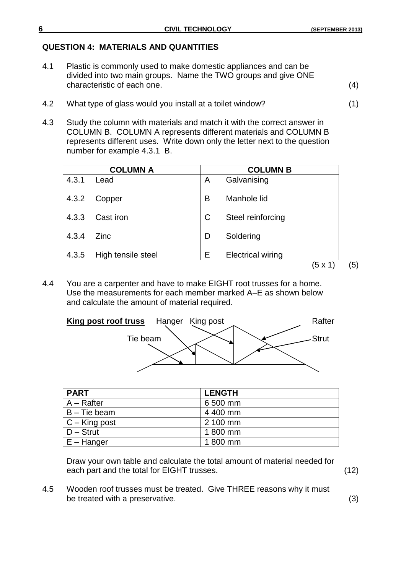#### **QUESTION 4: MATERIALS AND QUANTITIES**

- 4.1 Plastic is commonly used to make domestic appliances and can be divided into two main groups. Name the TWO groups and give ONE characteristic of each one. (4)
- 4.2 What type of glass would you install at a toilet window? (1)
- 4.3 Study the column with materials and match it with the correct answer in COLUMN B. COLUMN A represents different materials and COLUMN B represents different uses. Write down only the letter next to the question number for example 4.3.1 B.

|       | <b>COLUMN A</b>    |   | <b>COLUMN B</b>          |         |     |
|-------|--------------------|---|--------------------------|---------|-----|
| 4.3.1 | Lead               | A | Galvanising              |         |     |
| 4.3.2 | Copper             | B | Manhole lid              |         |     |
| 4.3.3 | Cast iron          | C | Steel reinforcing        |         |     |
| 4.3.4 | Zinc               | D | Soldering                |         |     |
| 4.3.5 | High tensile steel | Е | <b>Electrical wiring</b> |         |     |
|       |                    |   |                          | (5 x 1) | (5) |

4.4 You are a carpenter and have to make EIGHT root trusses for a home. Use the measurements for each member marked A–E as shown below and calculate the amount of material required.



| <b>PART</b>       | <b>LENGTH</b> |
|-------------------|---------------|
| <b>A</b> – Rafter | 6 500 mm      |
| B - Tie beam      | 4 400 mm      |
| $ C -$ King post  | 2 100 mm      |
| $ D -$ Strut      | 1800 mm       |
| $E - H$ anger     | 1800 mm       |

Draw your own table and calculate the total amount of material needed for each part and the total for EIGHT trusses. (12)

4.5 Wooden roof trusses must be treated. Give THREE reasons why it must be treated with a preservative. (3)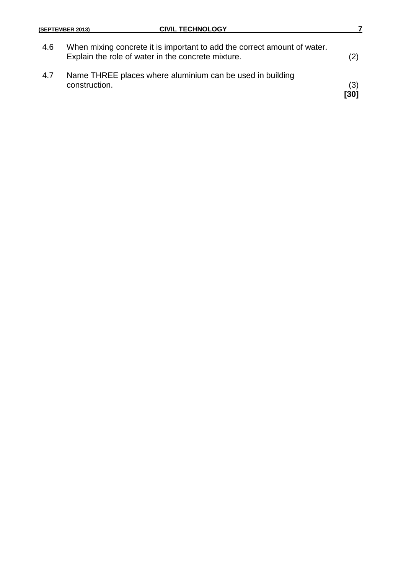|     | <b>CIVIL TECHNOLOGY</b><br>(SEPTEMBER 2013)                                                                                    |             |
|-----|--------------------------------------------------------------------------------------------------------------------------------|-------------|
| 4.6 | When mixing concrete it is important to add the correct amount of water.<br>Explain the role of water in the concrete mixture. | (2)         |
| 4.7 | Name THREE places where aluminium can be used in building<br>construction.                                                     | (3)<br>[30] |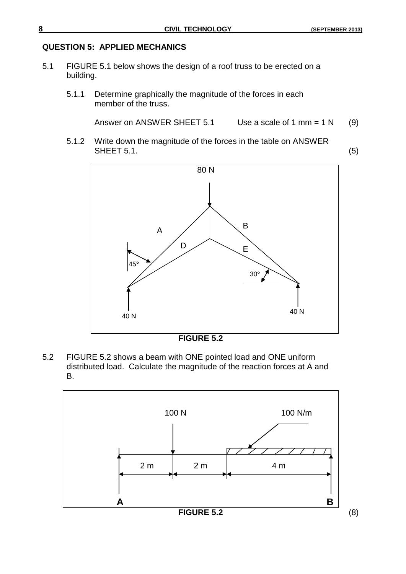#### **QUESTION 5: APPLIED MECHANICS**

- 5.1 FIGURE 5.1 below shows the design of a roof truss to be erected on a building.
	- 5.1.1 Determine graphically the magnitude of the forces in each member of the truss.

Answer on ANSWER SHEET  $5.1$  Use a scale of 1 mm =  $1 N$  (9)

5.1.2 Write down the magnitude of the forces in the table on ANSWER SHEET 5.1. (5)



**FIGURE 5.2**

5.2 FIGURE 5.2 shows a beam with ONE pointed load and ONE uniform distributed load. Calculate the magnitude of the reaction forces at A and B.

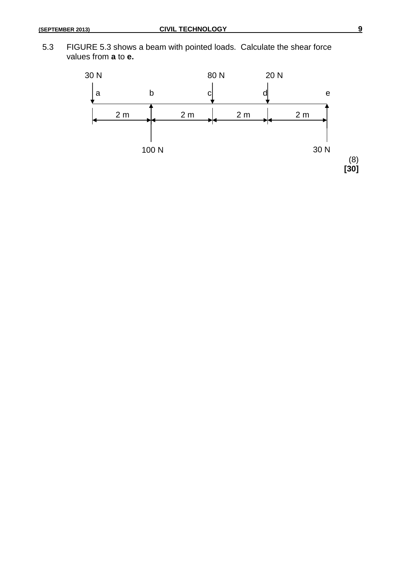5.3 FIGURE 5.3 shows a beam with pointed loads. Calculate the shear force values from **a** to **e.**

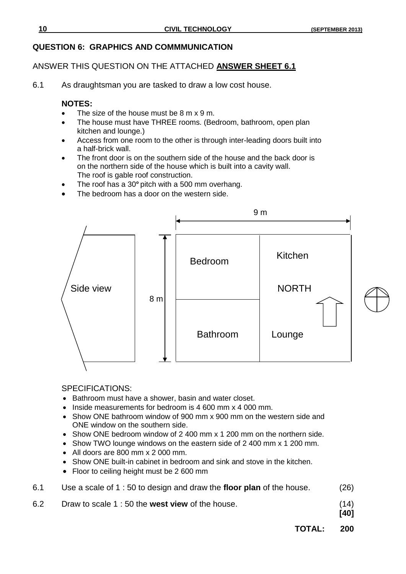#### **QUESTION 6: GRAPHICS AND COMMMUNICATION**

#### ANSWER THIS QUESTION ON THE ATTACHED **ANSWER SHEET 6.1**

6.1 As draughtsman you are tasked to draw a low cost house.

#### **NOTES:**

- The size of the house must be 8 m x 9 m.
- The house must have THREE rooms. (Bedroom, bathroom, open plan kitchen and lounge.)
- Access from one room to the other is through inter-leading doors built into a half-brick wall.
- The front door is on the southern side of the house and the back door is on the northern side of the house which is built into a cavity wall. The roof is gable roof construction.
- The roof has a 30**°** pitch with a 500 mm overhang.
- The bedroom has a door on the western side.



#### SPECIFICATIONS:

- Bathroom must have a shower, basin and water closet.
- Inside measurements for bedroom is 4 600 mm x 4 000 mm.
- Show ONE bathroom window of 900 mm x 900 mm on the western side and ONE window on the southern side.
- Show ONE bedroom window of 2 400 mm x 1 200 mm on the northern side.
- Show TWO lounge windows on the eastern side of 2 400 mm x 1 200 mm.
- $\bullet$  All doors are 800 mm x 2 000 mm.
- Show ONE built-in cabinet in bedroom and sink and stove in the kitchen.
- Floor to ceiling height must be 2 600 mm

|  | 6.1 | Use a scale of 1 : 50 to design and draw the floor plan of the house. | (26) |
|--|-----|-----------------------------------------------------------------------|------|
|--|-----|-----------------------------------------------------------------------|------|

6.2 Draw to scale 1 : 50 the **west view** of the house. (14)

**[40]**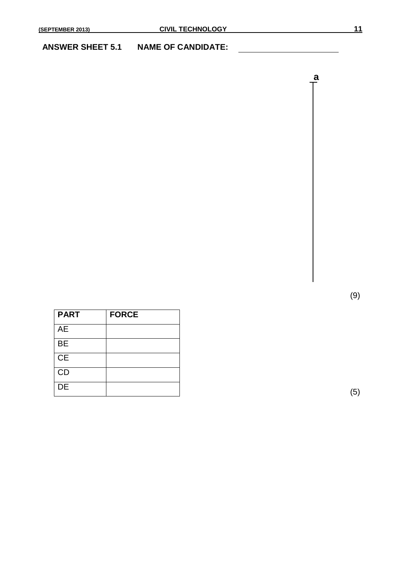#### **ANSWER SHEET 5.1 NAME OF CANDIDATE:**

 **a**

| <b>PART</b> | <b>FORCE</b> |
|-------------|--------------|
| AE          |              |
| <b>BE</b>   |              |
| CE          |              |
| <b>CD</b>   |              |
| DE          |              |

(9)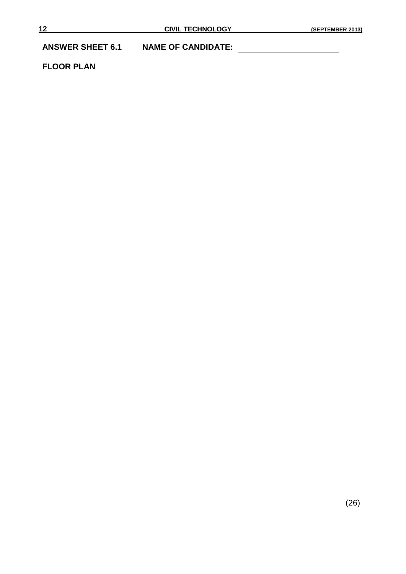### **ANSWER SHEET 6.1 NAME OF CANDIDATE:**

**FLOOR PLAN**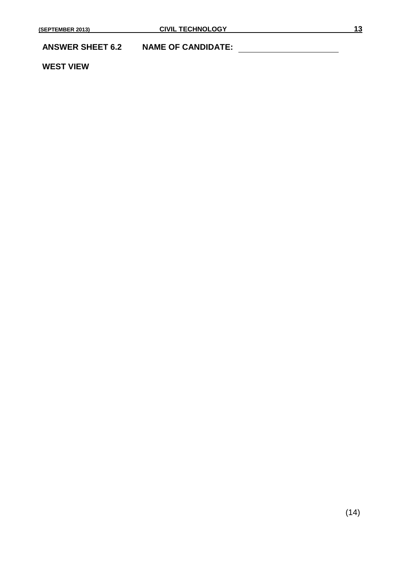### **ANSWER SHEET 6.2 NAME OF CANDIDATE:**

#### **WEST VIEW**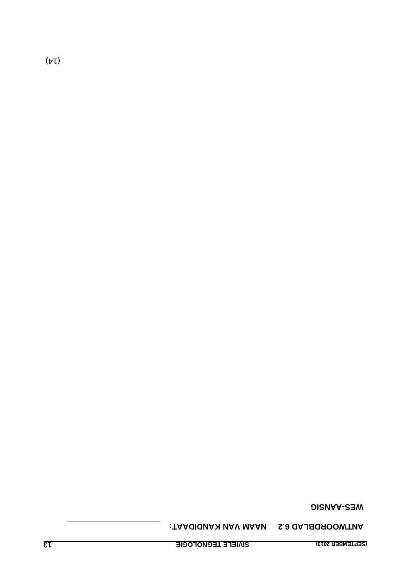**AANSIG - WES**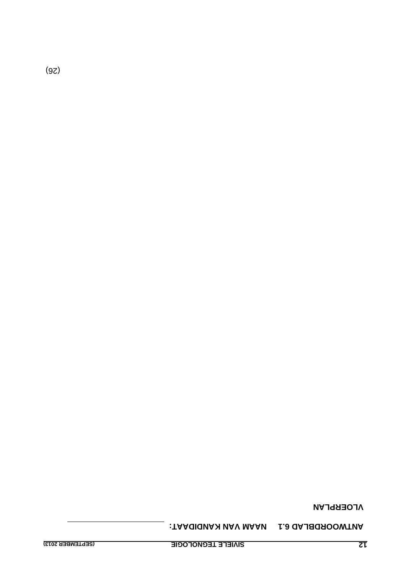**: NAAM VAN KANDIDAAT 6.1 ANTWOORDBLAD**

**VLOERPLAN** 

 $(9<sub>z</sub>)$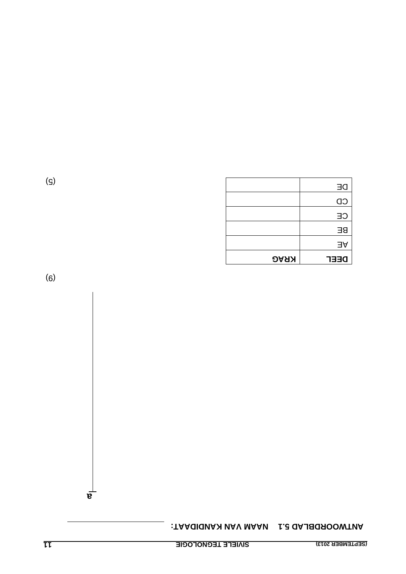CE

CD

DE



 $\left( \mathsf{G}\right)$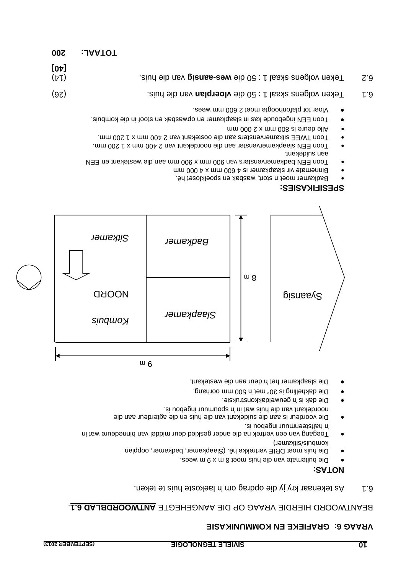**200 L: A TOTA**

#### **FIEKE EN KOMMUNIKASIE 6: GRA VRAAG**

#### BEANTWOORD HIERDIE VRAAG OP DIE AANGEHEGTE ANTWOORDBLAD 6.1.

e. 1 beteken. In As tekens is teken behuis teken. In As teken wat die opvolgende om 6.11 die opder in 19.10 om

#### **NOTAS:**

- Die buitemate van die huis moet 8 m x 9 m wees.
- Die huis moet DRIE vertrekke hê. (Slaapkamer, badkamer, oopplan kombuis/sitkamer)
- Toegang van een vertrek na die ander geskied deur middel van binnedeure wat in halfsteenmuur ingebou is. 'n
- Die voordeur is aan die suidekant van die huis en die agterdeur aan die si uodepni uumuoqs n' ni tsw siud eib nsv tnaxeboon.
- Die dak is 'n geuweldakkonstruksie.
- **Die dakhelling is 30° met 'n 500 mm oorhang.**
- Die slaapkamer het 'n deur aan die westekant.



#### **SPESIFIKASIES:**

- Badkamer moet 'n stort, wasbak en spoelkloset hê.
- Binnemate vir slaapkamer is 4 600 mm x 4 000 mm
- Toon EEN badkamervensters van 900 mm x 900 ma aan die westekant en EEN aan suidekant.
- Doon EEN slaapkamervenster aan die noordekant van 2 400 mm x 1 200 mm. ■ Doon TWEE sitkamervensters aan die oostekant van 2 400 mm x 1 200 mm.
- 
- mm 000 S x mm 008 si enueb ellA ·
- e and toop represent in space is simple produce in sexting the Nouplis.
- . 899w mm 000 S toom atpoodnotal tot 190V

| $[0 \nu]$<br>$(\uparrow \downarrow)$ | Teken volgens skaal 1 : 50 die wes-aansig van die huis.       | Z.3 |
|--------------------------------------|---------------------------------------------------------------|-----|
| (9Z)                                 | Teken volgens skaal 1 : 50 die <b>vloerplan</b> van die huis. | L.3 |
|                                      |                                                               |     |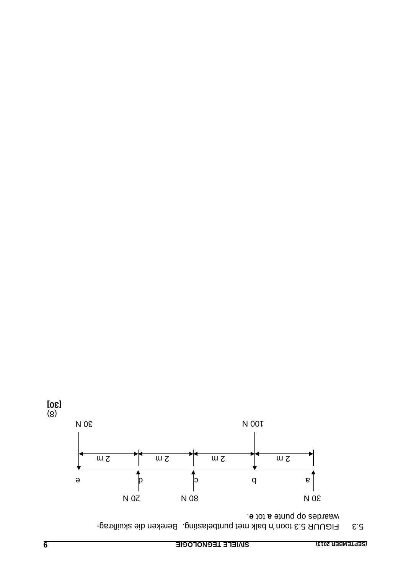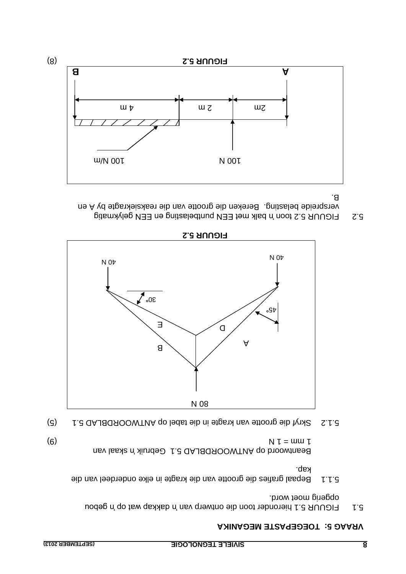### *TOEGEPASTE MEGANIKA*

- 5.1 FIGUUR 5.1 hieronder toon die ontwerp van 'n dakkap wat op 'n gebou opgerig moet word.
- Bepaal grafies die grootte van die kragte in elke onderdeel van die 5.1.1 kap.

van skaal 'n 5.1 Gebruik ANTWOORDBLAD Beantwoord op (6)  $N l = \text{mm } l$ 

- 
- (5) Skryf die grootte van kragte in die tabel op ANTWOORDBLAD 5.1 5.1.2



**EIGUUR 5.2** 

5.2 FIGUUR 5.2 toon 'n balk met EEN puntbelasting en EEN gelykmatig verspreide belasting. Bereken die grootte van die reaksiekragte by A en B.

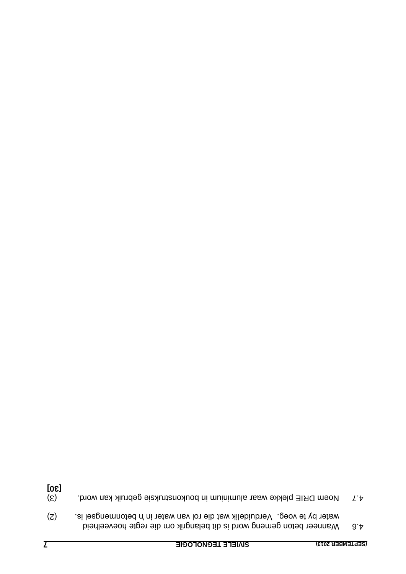| (z) | water by te voeg. Verduidelik wat die rol van water in 'n betonmengsel is.<br>Wanneer beton gemeng word is dit belangrik om die regte hoeveelheid | o + |
|-----|---------------------------------------------------------------------------------------------------------------------------------------------------|-----|
|     | (SEPTEMBER 2013)<br><b>SINIEFE LEGNOFOGIE</b>                                                                                                     |     |

**[30]**

4.7 Woem DRIE plekke waar aluminium in boukonstruksie gebruik kan word.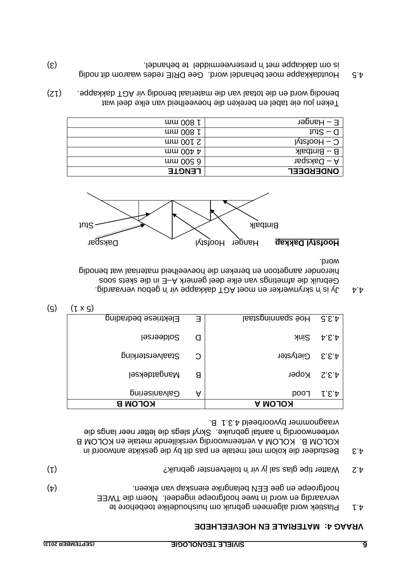#### **EN HOEVEELHEDE E MATERIAL 4: VRAAG**

- 4.1 Plastiek word algemeen gebruik om huishoudelike toebehore te vervaardig en word in twee hoofgroepe ingedeel. Noem die TWEE (4) hoofgroepe en gee EEN belangrike eienskap van elkeen.
- 4.2 Watter tipe glas sal jy vir 'n toiletvenster gebruik?
- $A.3$  Bestudeer die kolom met metale en pas dit by die geskikte antwoord in KOLOM A verteenwoordig verskillende metale en KOLOM B . KOLOM B verteenwoordig 'n aantal gebruike. Skryf slegs die letter neer langs die vraagnommer byvoorbeeld 4.3.1 B.

|         | <b>KOLOMB</b>        |   | <b>KOLOM</b>      |              |
|---------|----------------------|---|-------------------|--------------|
|         | Galvanisering        | A | poo¬              | 1.S.A        |
|         | Mangatdeksel         | В | Koper             | $\Omega.E.P$ |
|         | Staalversterking     | C | <b>Gietyster</b>  | f.3.3        |
|         | Soldeersel           | d | <b>Anic</b>       | A.B.A        |
|         | Elektriese bedrading | Ξ | lsstagninnsqs ëoH | 3.5.5        |
| (L X G) |                      |   |                   |              |

 $\left( \mathsf{G}\right)$ 

gebou vervaardig. 'n skrynwerker en moet AGT dakkappe vir 'n Jy is 4.4 E in die skets soos stets van elke deel gemerk A-E in die skets soos hieronder aangetoon en bereken die hoeveelheid materiaal wat benodig word.



| mm 009 9<br><b>LENGTE</b>              | $A - Daks$ par<br><b>ONDEKDEET</b> |
|----------------------------------------|------------------------------------|
| $\mu$ mm 00 $\nu$ $\nu$                | $B - B$ intbalk                    |
| WW00LZ                                 | $C -$ Hoofstyl                     |
| mm 008 h                               | $1$ ut $S - G$                     |
| $\frac{1000 \text{ m}}{200 \text{ m}}$ | $E - H$ anger                      |

- Teken jou eie tabel en bereken die hoeveelheid van elke deel wat (21) . Guash dakkappe word dakkappe word dakkappe. (12)
- $\mu$ .5 Houtdakkappe moet behandel word. Gee DRIE redes waarom dit nodig (3) preserveermiddel te behandel. 'n is om dakkappe met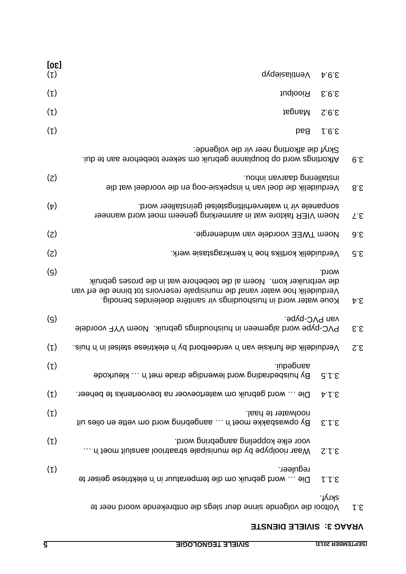$3.1$  Voltooi die volgende slaus deur slegs die ontbrekende woord neer te

#### **SIVIELE DIENSTE 3: VRAAG**

| [30]<br>$(\iota)$          | <b>Q</b> qvqəi aslin o V                                                                                                                                                                                                        | 4.9.5   |                               |
|----------------------------|---------------------------------------------------------------------------------------------------------------------------------------------------------------------------------------------------------------------------------|---------|-------------------------------|
|                            |                                                                                                                                                                                                                                 |         |                               |
| $(\iota)$                  | <b>Rioolput</b>                                                                                                                                                                                                                 | 5.9.5   |                               |
| $(\iota)$                  | Mangat                                                                                                                                                                                                                          | 2.9.2   |                               |
| $(\iota)$                  | <b>bad</b>                                                                                                                                                                                                                      | 1.6.5   |                               |
|                            | Skryf die afkorting neer vir die volgende:<br>Affortings word op bouplanne gebruik om sekere toebehore aan te dui.                                                                                                              |         | 6.5                           |
| (5)                        | uodni nsvisab pninellatani.<br>Verduidelik die doel van 'n inspeksie-oog en die voordeel wat die                                                                                                                                |         | 8.5                           |
| $(\nabla)$                 | sonpanele vir 'n waterverhittingstelsel geïnstalleer word.<br>Noem VIER faktore wat in aanmerking geneem moet word wanneer                                                                                                      |         | 7.5                           |
| (5)                        | Noem TWEE voordele van windenergie.                                                                                                                                                                                             |         | 0.5                           |
| (5)                        | Verduidelik kortliks hoe 'n kernkragstasie werk.                                                                                                                                                                                |         | $\mathcal{C}$ . $\mathcal{E}$ |
| $\left( \mathsf{S}\right)$ | .b10w<br>die verbruiker kom. Noem al die toebehore wat in die proses gebruik<br>Verduidelik hoe water vanaf die munisipale reservoirs tot binne die erf van<br>Roue water word in huishoudings vir sanitêre doeleindes benodig. |         | Α.ε                           |
| $\left( \mathsf{G}\right)$ | van PVC-pype.<br>PVC-pype word algemeen in huishoudings gebruik. Noem VYF voordele                                                                                                                                              |         | $\epsilon$ . $\epsilon$       |
| $(\iota)$                  | Verduidelik die funksie van 'n verdeelbord by 'n elektriese stelsel in 'n huis.                                                                                                                                                 |         | $S.\mathcal{E}$               |
| $(\iota)$                  | asudeqni.<br>By huisbedrading word lewendige drade met in  kleurkode                                                                                                                                                            | G.L.E   |                               |
| $(\iota)$                  | Die  word gebruik om watertoevoer na toevoertenks te beheer.                                                                                                                                                                    | 7.1.5   |                               |
| $(\iota)$                  | rioolwater te haal.<br>By opwasbakke moet in  aangebring word om vette en olies uit                                                                                                                                             | E.F.E   |                               |
| $(\iota)$                  | voor elke koppeling aangebring word.<br>n' teori tiulente di die munisipale straatriool aansluit moet 'n                                                                                                                        | S.1.2   |                               |
| $(\iota)$                  | reguleer.<br>Die  word gebruik om die temperatuur in 'n elektriese geiser te                                                                                                                                                    | 1.1.5   |                               |
|                            |                                                                                                                                                                                                                                 | .trryf. |                               |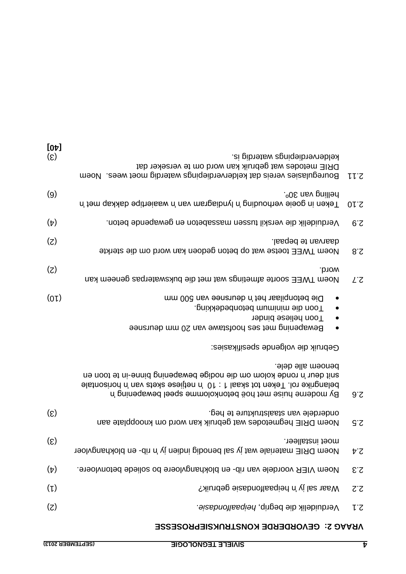#### **VRAAG 2: GEVORDERDE KONSTRUKSIEPROSESSE**

| [0 <sub>t</sub> ]           |                                                                                                                                                                                                                                       |      |
|-----------------------------|---------------------------------------------------------------------------------------------------------------------------------------------------------------------------------------------------------------------------------------|------|
| $\left( \mathcal{E}\right)$ | kelderverdiepings waterdig is.<br>DRIE metodes wat gebruik kan word om te verseker dat<br>Bouregulasies vereis dat kelderverdiepings waterdig moet wees. Noem                                                                         | 11.5 |
| (9)                         | <sup>0</sup> 08 nsv pnilləd<br>Teken in goeie verhouding 'n lyndiagram van waaiertipe dakkap met 'n                                                                                                                                   | 01.5 |
| $(\nabla)$                  | Verduidelik die verskil tussen massabeton en gewapende beton.                                                                                                                                                                         | 6.5  |
| (z)                         | Jaarvan te bepaal.<br>Noem TWEE toetse wat op beton gedoen kan word om die sterkte                                                                                                                                                    | 8.5  |
| (z)                         | .b10w<br>Noem TWEE soorte afmetings wat met die bukswaterpas geneem kan                                                                                                                                                               | L'ζ  |
| (01)                        | Die betonpilaar het 'n deursnee van 500 mm<br>Toon die minimum betonbedekking.<br>Toon heliese binder<br>Bewapening met ses hoofstawe van 20 mm deursnee                                                                              |      |
|                             | Gebruik die volgende spesifikasies:                                                                                                                                                                                                   |      |
|                             | benoem alle dele.<br>suit deur 'n ronde kolom om die nogige bewapening binne-in te toon en<br>belangrike rol. Teken tot skaal 1 : 10 h netjiese skets van 'n horisontale<br>By moderne huise met hoë betonkolomme speel bewapening 'n | 9.5  |
| $\left( \mathcal{E}\right)$ | onderdele van staalstrukture te heg.<br>Noem DRIE hegmetodes wat gebruik kan word om knoopplate aan                                                                                                                                   | S.S  |
| $(\mathcal{E})$             | moet installeer.<br>Noem DRIE materiale wat jy sal benodig indien jy 'n rib- en blokhangvloer                                                                                                                                         | Þ.S  |
| $(\nabla)$                  | Noem VIER voordele van rib- en blokhangvloere bo soliede betonvloere.                                                                                                                                                                 | 2.3  |
| $(\iota)$                   | Vaar sal jy 'n heipaalfondasie gebruik?                                                                                                                                                                                               | 2.2  |
| (z)                         | Verduidelik die begrip, heipaalfondasie.                                                                                                                                                                                              | L.S  |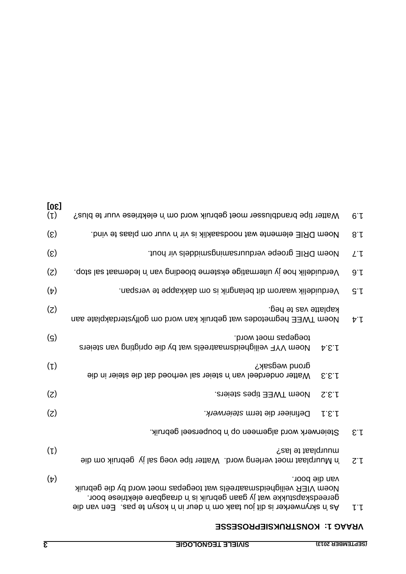### **VRAAG 1: KONSTRUKSIEPROSESSE**

| [06]                        |                                                                                                                                                                                                                                             |                                 |
|-----------------------------|---------------------------------------------------------------------------------------------------------------------------------------------------------------------------------------------------------------------------------------------|---------------------------------|
| $(\iota)$                   | Watter tipe brandblusser moet gebruik word om 'n elektriese vuur te blus?                                                                                                                                                                   |                                 |
| $(\mathcal{E})$             | Noem DRIE elemente wat noodsaaklik is vir 'n vuur om plaas te vind.                                                                                                                                                                         | 8.1                             |
| $\left( \mathcal{E}\right)$ | Noem DRIE groepe verduursamingsmiddels vir hout.                                                                                                                                                                                            | $L^{\cdot}$                     |
| (z)                         | Verduidelik hoe jy uitermatige eksterne bloeding van 'n ledemaat sal stop.                                                                                                                                                                  | 9.1                             |
| $(\nabla)$                  | Verduidelik waarom dit belangrik is om dakkappe te verspan.                                                                                                                                                                                 | G·l                             |
| (z)                         | kaplatte vas te heg.<br>Noem TWEE hegmetodes wat gebruik kan word om golfysterdakplate aan                                                                                                                                                  | $\uparrow, \uparrow$            |
| $\left( \mathsf{G}\right)$  | toegepas moet word.<br>Noem VYF veiligheidsmaatreëls wat by die oprigting van steiers<br>A.E.f                                                                                                                                              |                                 |
| $(\iota)$                   | grond wegsak?<br>Watter onderdeel van 'n steier sal verhoed dat die steier in die<br>E.E.f                                                                                                                                                  |                                 |
| (5)                         | .aneist and tipes steiers.<br>S.E.f                                                                                                                                                                                                         |                                 |
| (z)                         | Definieer die term steierwerk.<br>1.5.1                                                                                                                                                                                                     |                                 |
|                             | Steierwerk word algemeen op 'n bouperseel gebruik.                                                                                                                                                                                          | E.                              |
| (L)                         | nuurplaat te las?<br>'n Muurplaat moet verleng word. Watter tipe voeg sal jy gebruik om die                                                                                                                                                 | $Z^{\cdot}$                     |
| $(\nabla)$                  | van die boor.<br>Noem VIER veiligheidsmaatreëls wat toegepas moet word by die gebruik<br>gereedskapstukke wat jy gaan gebruik is 'n draagbare elektriese boor.<br>9ib nsv n9∃ . zaq et nyeol n' ni neb n' mo last uoi tib ai nehvnyna n' eA | $\mathsf{L}^{\cdot} \mathsf{L}$ |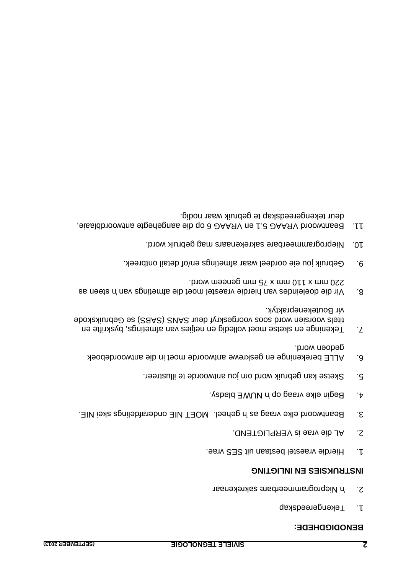#### **BENODIGDHEDE:**

- 1. Tekengereedskap
- 'n Nieprogrammeerbare sakrekenaar 2.

#### **INSTRUKSIES EN INLIGTING**

- Hierdie vraestel bestaan uit SES vrae. 1.
- 2. AL die vrae is VERPLIGTEND.
- Beantwoord elke vraag as 'n geheel. MOET NIE onderafdelings skei NIE. 3.
- Begin elke vraag op 'n NUWE bladsy. 4.
- Sketse kan gebruik word om jou antwoorde te illustreer. 5.
- ALLE berekeninge en geskrewe antwoorde moet in die antwoordeboek 6. gedoen word.
- Tekeninge en setse moet volledig en netjies van afmetings, byskrifte en titels voorsien word soos voorgeskryf deur SANS (SABS) se Gebruikskode vir Boutekenepraktyk.
- 8. Vir die doeleindes van hierdie vraestel moet die afmetings van die afeen as 220 mm x 110 mm x 75 mm geneem word.
- Gebruik jou eie oordeel waar afmetings en/of detail ontbreek. 9.
- Nieprogrammeerbare sakrekenaars mag gebruik word. 10.
- antwoordblaaie, en the SAAAG 6.1 en VRAAG 6.1 au van die die en van die 11.1 en van die 11.1 en van die 11.1 e deur tekengereedskap te gebruik waar nodig.